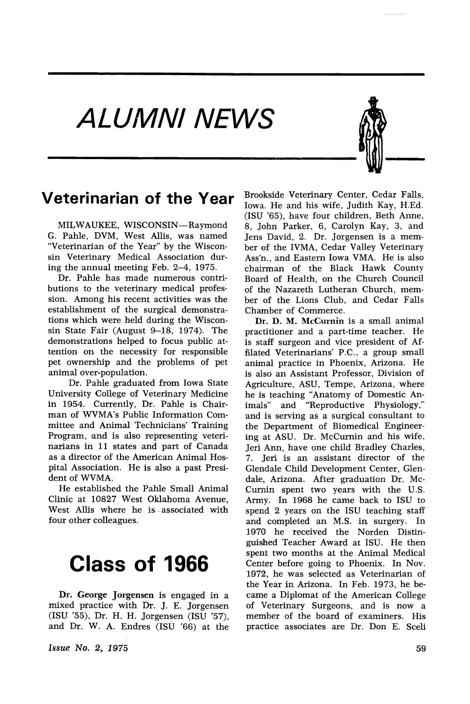ALUMNI NEWS



#### **Veterinarian of the Year**

MILWAUKEE, WISCONSIN-Raymond G. Pahle, DVM, West Allis, was named "Veterinarian of the Year" by the Wisconsin Veterinary Medical Association during the annual meeting Feb. 2-4, 1975.

Dr. Pable has made numerous contributions to the veterinary medical profession. Among his recent activities was the establishment of the surgical demonstrations which were held during the Wisconsin State Fair (August  $9-18$ , 1974). The demonstrations helped to focus public attention on the necessity for responsible pet ownership, and the problems of pet animal over-population.

Dr. Pahle graduated from Iowa State University College of Veterinary Medicine in 1954. Currently, Dr. Pahle is Chair-:man of WVMA's Public Information Committee and Animal Technicians' Training Program, and is also representing veterinarians in 11 states and part of Canada as a director of the American Animal Hospital Association. He is also a past President of WVMA.

He established the Pable Small Animal Clinic at 10827 West Oklahoma Avenue, West Allis where he is associated with four other colleagues.

### **Class of 1966**

Dr. George Jorgensen is engaged in a mixed practice with Dr. J. E. Jorgensen (ISU '55), Dr. H. H. Jorgensen (ISU '57), and Dr. W. A. Endres (ISU '66) at the

*Issue No.2, 1975*

Brookside Veterinary Center, Cedar Falls, Iowa. He and his wife, Judith Kay, H.Ed. (ISU '65), have four children, Beth Anne, 8, John Parker, 6, Carolyn Kay, 3, and Jens David, 2. Dr. Jorgensen is a member of the IVMA, Cedar Valley Veterinary Ass'n., and Eastern Iowa VMA. He is also chairman of the Black Hawk County Board of Health, on the Church Council of the Nazareth Lutheran Church, member of the Lions Club, and Cedar Falls Chamber of Commerce.

Dr. D. M. McCurnin is a small animal practitioner and a part-time teacher. He is staff surgeon and vice president of Affilated Veterinarians' P.C., a group small animal practice in Phoenix, Arizona. He is also an Assistant Professor, Division of Agriculture, ASU, Tempe, Arizona, where he is teaching "Anatomy of Domestic An-<br>imals" and "Reproductive Physiology," and "Reproductive Physiology," and is serving as a surgical consultant to the Department of Biomedical Engineering at ASU. Dr. McCurnin and his wife, Jeri Ann, have one child Bradley Charles, 7. Jeri is an assistant director of the Glendale Child Development Center, Glendale, Arizona. After graduation Dr. Mc-Curnin spent two years with the U.S. Army. In 1968 he came back to ISU to spend 2 years on the ISU teaching staff and completed an M.S. in surgery. In 1970 he received the Norden Distinguished Teacher Award at ISU. He then spent two months at the Animal Medical Center before going to Phoenix. In Nov. 1972, he was selected as Veterinarian of the Year in Arizona. In Feb. 1973, he became a Diplomat of the American College of Veterinary Surgeons, and is now a member of the board of examiners. His practice associates are Dr. Don E. Sceli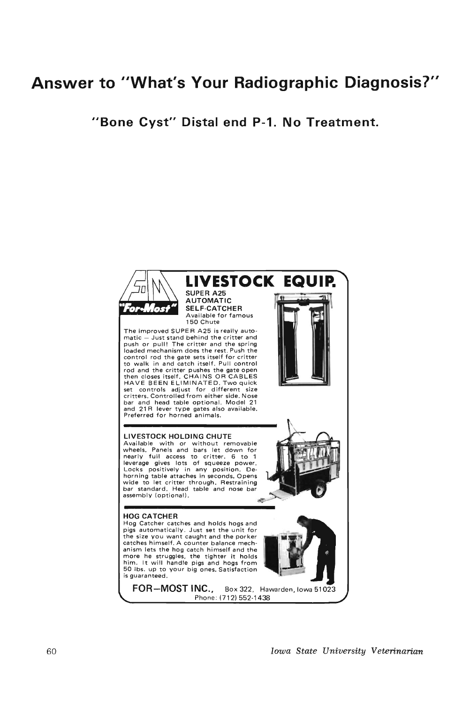### **Answer to IIWhat's Your Radiographic Diagnosis?"**

**"Bone Cyst" Distal end P-1. No Treatment.**

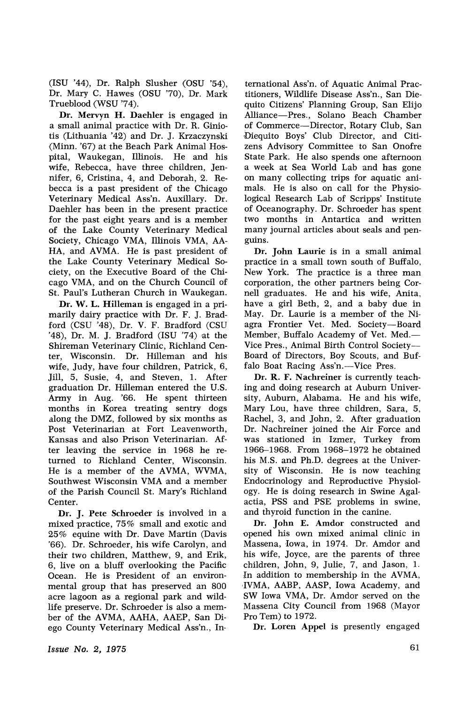(LSU '44), Dr. Ralph Slusher (OSU '54), Dr. Mary C. Hawes (OSU '70), Dr. Mark Trueblood (WSU '74).

Dr. Mervyn H. Daehler is engaged in a small animal practice with Dr. R. Giniotis (Lithuania '42) and Dr. J. Krzaczynski (Minn. '67) at the Beach Park Animal Hospital, Waukegan, Illinois. He and his wife, Rebecca, have three children, Jennifer, 6, Cristina, 4, and Deborah, 2. Rebecca is a past president of the Chicago Veterinary Medical Ass'n. Auxillary. Dr. Daehler has been in the present practice for the past eight years and is a member of the Lake County Veterinary Medical Society, Chicago VMA, Illinois VMA, AA-HA, and AVMA. He is past president of the Lake County Veterinary Medical Society, on the Executive Board of the Chicago VMA, and on the Church Council of St. Paul's Lutheran Church in Waukegan.

Dr. W. L. Hilleman is engaged in a primarily dairy practice with Dr. F. J. Bradford (CSU '48), Dr. V. F. Bradford (CSU '48), Dr. M. J. Bradford (ISU '74) at the Shireman Veterinary Clinic, Richland Center, Wisconsin. Dr. Hilleman and his wife, Judy, have four children, Patrick, 6, Jill, 5, Susie, 4, and Steven, 1. After graduation Dr. Hilleman entered the U.S. Army in Aug. '66. He spent thirteen months in Korea treating sentry dogs along the DMZ, followed by six months as Post Veterinarian at Fort Leavenworth, Kansas and also Prison Veterinarian. After leaving the service in 1968 he returned to Richland Center, Wisconsin. He is a member of the AVMA, WVMA, Southwest Wisconsin VMA and a member of the Parish Council St. Mary's Richland Center.

Dr. J. Pete Schroeder is involved in a mixed practice, 75% small and exotic and  $25\%$  equine with Dr. Dave Martin (Davis '66). Dr. Schroeder, his wife Carolyn, and their two children, Matthew, 9, and Erik, 6, live on a bluff overlooking the Pacific Ocean. He is President of an environmental group that has preserved an 800 acre lagoon as a regional park and wildlife preserve. Dr. Schroeder is also a member of the AVMA, AAHA, AAEP, San Diego County Veterinary Medical Ass'n., International Ass'n. of Aquatic Animal Practitioners, Wildlife Disease Ass'n., San Diequito Citizens' Planning Group, San Elijo Alliance-Pres., Solano Beach Chamber of Commerce-Director, Rotary Club, San Diequito Boys' Club Director, and Citizens Advisory Committee to San Onofre State Park. He also spends one afternoon a week at Sea World Lab and has gone on many collecting trips for aquatic animals. He is also on call for the Physiological Research Lab of Scripps' Institute of Oceanography. Dr. Schroeder has spent two months in Antartica and written many journal articles about seals and penguins.

Dr. John Laurie is in a small animal practice in 'a small town south of Buffalo, New York. The practice is a three man corporation, the other partners being Cornell graduates. He and his wife, Anita, have a girl Beth, 2, and a baby due in May. Dr. Laurie is a member of the Ni agra Frontier Vet. Med. Society-Board Member, Buffalo Academy of Vet. Med.-Vice Pres., Animal Birth Control Society-Board of Directors, Boy Scouts, and Buffalo Boat Racing Ass'n.-Vice Pres.

Dr. R. F. Nachreiner is currently teaching and doing research at Auburn University, Auburn, Alabama. He and his wife, Mary Lou, have three children, Sara, 5, Rachel, 3, and John, 2. After graduation Dr. Nachreiner joined the Air Force and was stationed in, Izmer, Turkey from 1966-1968. From 1968-1972 he obtained his M.S. and Ph.D. degrees at the University of Wisconsin. He is now teaching Endocrinology and Reproductive Physiology. He is doing research in Swine Agalactia, PSS and PSE problems in swine, and thyroid function in the canine.

Dr. John E. Amdor constructed and 'Opened his own mixed animal clinic in Massena, Iowa, in 1974. Dr. Amdor and his wife, Joyce, are the parents of three children, John, 9, Julie, 7, and Jason, 1. In addition to membership in the AVMA, ,IVMA, AABP, AASP, Iowa Academy, and SW Iowa VMA, Dr. Amdor served on the Massena City Council from 1968 (Mayor Pro Tem) to  $1972$ .

Dr. Loren Appel is presently engaged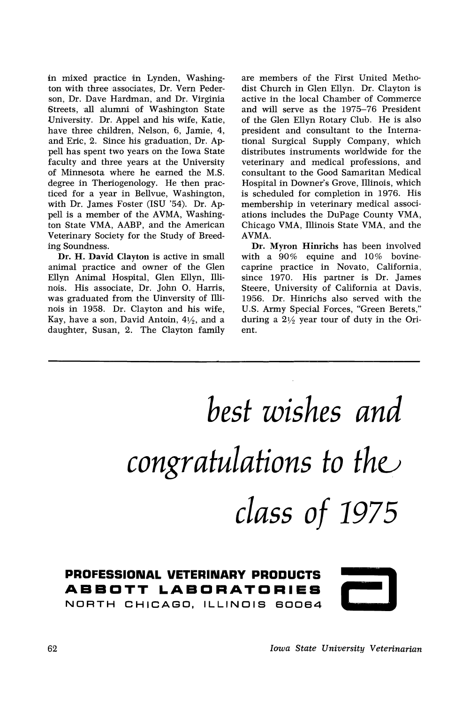in mixed practice in Lynden, Washington with three associates, Dr. Vern Pederson, Dr. Dave Hardman, and Dr. Virginia Streets, all alumni of Washington State University. Dr. Appel and his wife, Katie, have three children, Nelson, 6, Jamie, 4, and Eric, 2. Since his graduation., Dr. Ap- 'pell has spent two years on the Iowa State faculty and three years at the University of Minnesota where he earned the M.S. degree in Theriogenology. He then practiced for a year in Bellvue, Washington, with Dr. James Foster (ISU '54). Dr. Appell is a member of the AVMA, Washington State VMA, AABP, and the American Veterinary Society for the Study of Breeding Soundness.

Dr. H. David Clayton is active in small animal practice and owner of the Glen Ellyn Animal Hospital, Glen Ellyn, Illinois. His associate, Dr. John O. Harris, was graduated from the Uinversity of Illinois in 1958. Dr. Clayton and his wife, Kay, have a son, David Antoin,  $4\frac{1}{2}$ , and a daughter, Susan, 2. The Clayton family are members of the First United Methodist Church in Glen Ellyn. Dr. Clayton is active in the local Chamber of Commerce and will serve as the 1975-76 President of the Glen Ellyn Rotary Club. He is also president and consultant to the International Surgical Supply Company, which distributes instruments worldwide for the veterinary and medical professions, and consultant to the Good Samaritan Medical Hospital in Downer's Grove, Illinois, which is scheduled for completion in 1976. His membership in veterinary medical associations includes the DuPage County VMA, Chicago VMA, Illinois State VMA, and the AVMA.

Dr. Myron Hinrichs has been involved with a 90% equine and 10% bovineeaprine practice in Novato, California, since 1970. His partner is Dr. James Steere, University of California at Davis, 1956. Dr. Hinrichs also served with the U.S. Army Special Forces, "Green Berets," during a  $2\frac{1}{2}$  year tour of duty in the Orient.

# *best wishes and congratulations* to the *class of 1975*

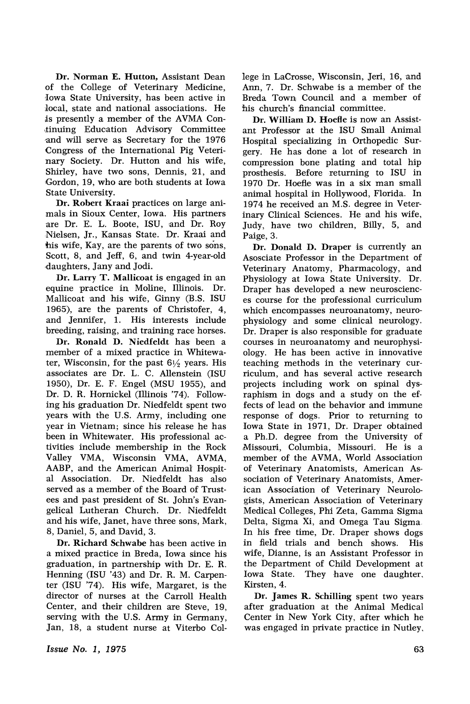Dr. Norman E. Hutton, Assistant Dean of the College of Veterinary Medicine, Iowa State University, has been active in local, state and national associations. He is presently a member of the AVMA Con-,tinuing Education Advisory 'Committee and will serve as Secretary for the 1976 Congress of the International Pig Veterinary Society. Dr. Hutton and his wife, Shirley, have two sons, Dennis, 21, and Gordon, 19, who are both students at Iowa State University.

Dr. Robert Kraai practices on large ani mals in Sioux Center, Iowa. His partners are Dr. E. L. Boote, ISU, and Dr. Roy .Nielsen, Jr., Kansas State. Dr. Kraai and his wife, Kay, are the parents of two sons, Scott, 8, and Jeff, 6, and twin 4-year-old rdaughters, Jany and Jodi.

Dr. Larry T. Mallicoat is engaged in an equine practice in Moline, Illinois. Dr. Mallicoat 'and his wife, Ginny (B.S. ISU 1965), are the parents of Christofer, 4, and Jennifer, 1. His interests include breeding, raising, and training race horses.

Dr. Ronald D. Niedfeldt has been a member of a mixed practice in Whitewater, Wisconsin, for the past  $6\frac{1}{2}$  years. His associates are Dr. L. C. Allenstein (ISU 1950), Dr. E. F. Engel (MSU 1955), and Dr. D. R. Hornickel (Illinois '74). Following his graduation Dr. Niedfeldt spent two years with the U.S. Army, including one year in Vietnam; since his release he has been in Whitewater. His professional activities include membership in the Rock Valley VMA, Wisconsin VMA, AVMA, AABP, and the American Animal Hospital Association. Dr. Niedfeldt has also served as a member of the Board of Trustees and past president of St. John's Evangelical Lutheran Church. Dr. Niedfeldt and his wife, Janet, have three sons, Mark, 8, Daniel, 5, and David, 3.

Dr. Richard Schwabe has been active in a mixed practice in Breda, Iowa since his graduation, in partnership with Dr. E. R. Henning (ISU '43) and Dr. R. M. Carpenter (ISU '74). His wife, Margaret, is the director of nurses at the Carroll Health Center, and their children are Steve, 19, serving with the U.S. Army in Germany, Jan, 18, a student nurse at Viterbo College in LaCrosse, Wisconsin, Jeri, 16, and Ann. 7. Dr. Schwabe is a member of the Breda Town Council and a member of his church's financial committee.

Dr. William D. Hoefle is now an Assistant Professor at the ISU Small Animal Hospital specializing in Orthopedic Surgery. He has done a lot of research in compression bone plating and total hip prosthesis. Before returning to ISU in 1970 Dr. Hoefle was in a six man small animal hospital in Hollywood, Florida. In 1974 he received an M.S. degree in Veterinary Clinical Sciences. He and his wife, Judy, have two children, Billy, 5, and Paige, 3.

Dr. Donald D. Draper is currently an Asosciate Professor in the Department of Veterinary Anatomy, Pharmacology, and Physiology at Iowa State University. Dr. Draper has developed a new neurosciences course for the professional curriculum which encompasses neuroanatomy, neurophysiology and some clinical neurology. Dr. Draper is also responsible for graduate courses in neuroanatomy and neurophysiology. He has been active in innovative teaching methods in the veterinary curriculum, and has several active research projects including work on spinal dysraphism in dogs and a study on the effects of lead on the behavior and immune response of dogs. Prior to returning to Iowa State in 1971, Dr. Draper obtained a Ph.D. degree from the University of Missouri, Columbia, Missouri. He is a member of the AVMA, World Association of Veterinary Anatomists, American Association of Veterinary Anatomists, American Association of Veterinary Neurologists, American Association of Veterinary Medical Colleges, Phi Zeta, Gamma Sigma Delta, Sigma Xi, and Omega Tau Sigma. In his free time, Dr. Draper shows dogs in field trials and bench shows. His wife, Dianne, is an Assistant Professor in the Department of Child Development at Iowa State. They have one daughter, Kirsten, 4.

Dr. James R. Schilling spent two years after graduation at the Animal Medical Center in New York City, after which he was engaged in private practice in Nutley,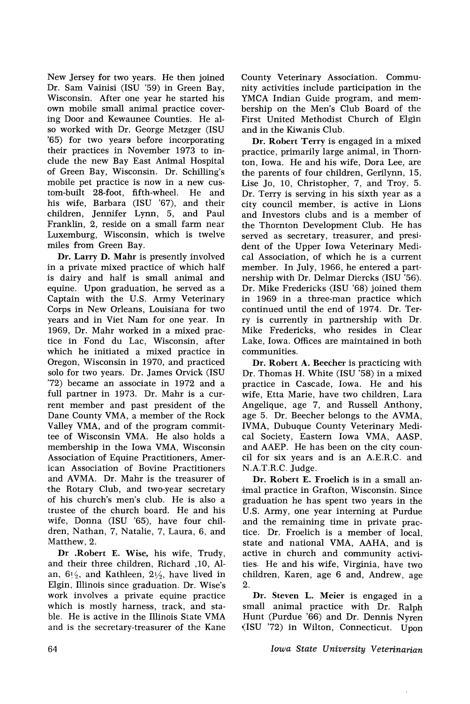New Jersey for two years. He then joined Dr. Sam Vainisi (ISU '59) in Green Bay, Wisconsin. After one year he started his own mobile small animal practice covering Door and Kewaunee Counties. He also worked with Dr. George Metzger (ISU '65) for two years before incorporating their practices in November 1973 to include the new Bay East Animal Hospital of Green Bay, Wisconsin. Dr. Schilling's mobile pet practice is now in a new custom-built 28-foot, fifth-wheel. He and his wife, Barbara (ISU '67), and their children, Jennifer Lynn, 5, and Paul Franklin, 2, reside on a small farm near Luxemburg, Wisconsin, which is twelve miles from Green Bay.

Dr. Larry D. Mahr is presently involved in a private mixed practice of which half is dairy and half is small animal and equine. Upon graduation, he served as a Captain with the U.S. Army Veterinary Corps in New Orleans, Louisiana for two years and in Viet Nam for one year. In 1969, Dr. Mahr worked in a mixed practice in Fond du Lac, Wisconsin, after which he initiated a mixed practice in Oregon, Wisconsin in 1970, and practiced solo for two years. Dr. James Orvick (ISU '72) became an associate in 1972 and a full partner in 1973. Dr. Mahr is a current member and past president of the Dane County VMA, a member of the Rock Valley VMA, and of the program committee of Wisconsin VMA. He also holds a membership in the Iowa VMA, Wisconsin Association of Equine Practitioners, American Association of Bovine Practitioners and AVMA. Dr. Mahr is the treasurer of the Rotary Club, and two-year secretary of his church's men's club. He is also a trustee of the church board. He and his wife, Donna (ISU '65), have four children, Nathan, 7, Natalie, 7, Laura, 6, and Matthew, 2.

Dr .Robert E. Wise, his wife, Trudy, and their three children, Richard ,10, Alan,  $6\frac{1}{2}$ , and Kathleen,  $2\frac{1}{2}$ , have lived in Elgin, Illinois since graduation. Dr. Wise's work involves a private equine practice which is mostly harness, track, and stable. He is active in the Illinois State VMA and is the secretary-treasurer of the Kane

County Veterinary Association. Community activities include participation in the YMCA Indian Guide program, and membership on the Men's Club Board of the First United Methodist Church of Elgin and in the Kiwanis Club.

Dr. Robert Terry is engaged in a mixed practice, primarily large animal, in Thornton, Iowa. He and his wife, Dora Lee, are the parents of four children, Gerilynn, 15, Lise Jo, 10, Christopher, 7, and Troy, 5. Dr. Terry is serving in his sixth year as a city council member, is active in Lions and Investors clubs and is a member of the Thornton Development Club. He has served as secretary, treasurer, and president of the Upper Iowa Veterinary Medical Association, of which he is a current member. In July, 1966, he entered a partnership with Dr. Delmar Diercks (ISU '56). Dr. Mike Fredericks (ISU '68) joined them in 1969 in a three-man practice which continued until the end of 1974. Dr. Terry is currently in partnership with Dr. Mike Fredericks, who resides in Clear Lake, Iowa. Offices are maintained in both communities.

Dr. Robert A. Beecher is practicing with Dr. Thomas H. White (ISU '58) in a mixed practice in Cascade, Iowa. He and his wife, Etta Marie, have two children, Lara Angelique, age 7, and Russell Anthony, age 5. Dr. Beecher belongs to the AVMA, IVMA, Dubuque County Veterinary Medical Society, Eastern Iowa VMA, AASP, and AAEP. He has been on the city council for six years and is an A.E.R.C. and N.A.T.R.C. Judge.

Dr. Robert E. Froelich is in a small an- ·imal practice in Grafton, Wisconsin. Since graduation he has spent two years in the U.S. Army, one year interning at Purdue and the remaining time in private practice. Dr. Froelich is a member of local, state and national VMA, AAHA, and is active in church and community activities. He and his wife, Virginia, have two children, Karen, age 6 and, Andrew, age 2.

Dr. Steven L. Meier is engaged in a small animal practice with Dr. Ralph Hunt (Purdue '66) and Dr. Dennis Nyren (ISU '72) in Wilton, Connecticut. Upon